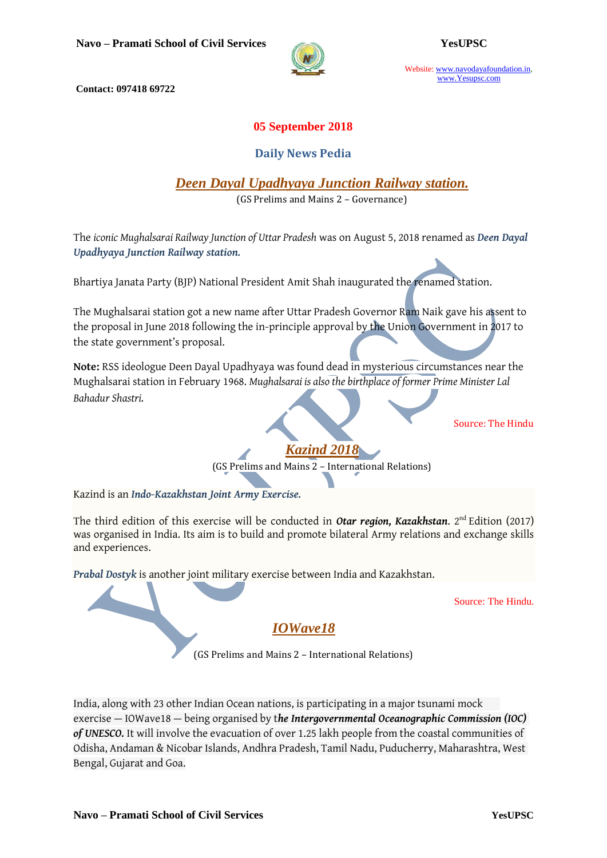

Website: www.navodayafoundation.in, www.Yesupsc.com

**Contact: 097418 69722**

## **05 September 2018**

## **Daily News Pedia**

*Deen Dayal Upadhyaya Junction Railway station.*

(GS Prelims and Mains 2 – Governance)

The *iconic Mughalsarai Railway Junction of Uttar Pradesh* was on August 5, 2018 renamed as *Deen Dayal Upadhyaya Junction Railway station.*

Bhartiya Janata Party (BJP) National President Amit Shah inaugurated the renamed station.

The Mughalsarai station got a new name after Uttar Pradesh Governor Ram Naik gave his assent to the proposal in June 2018 following the in-principle approval by the Union Government in 2017 to the state government's proposal.

**Note:** RSS ideologue Deen Dayal Upadhyaya was found dead in mysterious circumstances near the Mughalsarai station in February 1968. *Mughalsarai is also the birthplace of former Prime Minister Lal Bahadur Shastri.*

Source: The Hindu

*Kazind 2018* (GS Prelims and Mains 2 – International Relations)

Kazind is an *Indo-Kazakhstan Joint Army Exercise.*

The third edition of this exercise will be conducted in *Otar region, Kazakhstan*. 2<sup>nd</sup> Edition (2017) was organised in India. Its aim is to build and promote bilateral Army relations and exchange skills and experiences.

*Prabal Dostyk* is another joint military exercise between India and Kazakhstan.

Source: The Hindu.

# *IOWave18*

(GS Prelims and Mains 2 – International Relations)

India, along with 23 other Indian Ocean nations, is participating in a major tsunami mock exercise — IOWave18 — being organised by t*he Intergovernmental Oceanographic Commission (IOC) of UNESCO.* It will involve the evacuation of over 1.25 lakh people from the coastal communities of Odisha, Andaman & Nicobar Islands, Andhra Pradesh, Tamil Nadu, Puducherry, Maharashtra, West Bengal, Gujarat and Goa.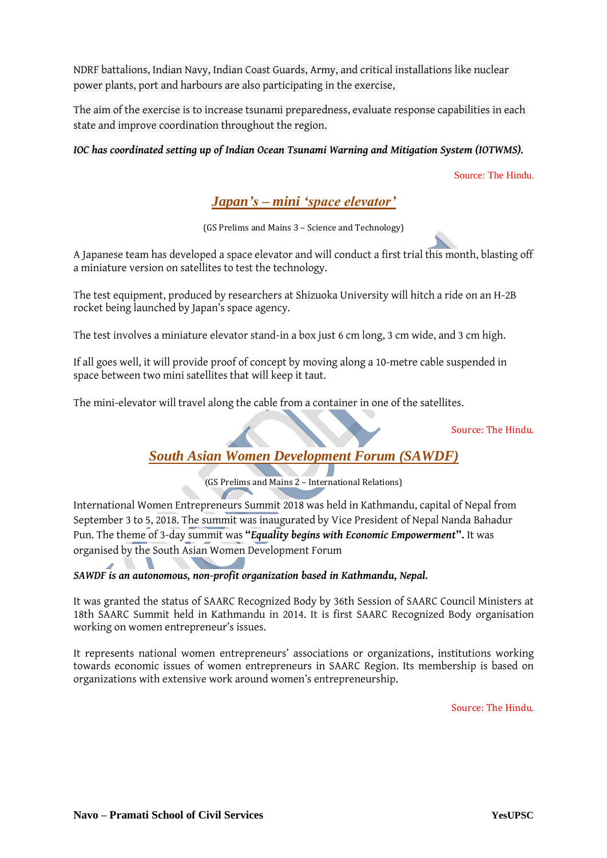NDRF battalions, Indian Navy, Indian Coast Guards, Army, and critical installations like nuclear power plants, port and harbours are also participating in the exercise,

The aim of the exercise is to increase tsunami preparedness, evaluate response capabilities in each state and improve coordination throughout the region.

### *IOC has coordinated setting up of Indian Ocean Tsunami Warning and Mitigation System (IOTWMS).*

Source: The Hindu.

# *Japan's – mini 'space elevator'*

(GS Prelims and Mains 3 – Science and Technology)

A Japanese team has developed a space elevator and will conduct a first trial this month, blasting off a miniature version on satellites to test the technology.

The test equipment, produced by researchers at Shizuoka University will hitch a ride on an H-2B rocket being launched by Japan's space agency.

The test involves a miniature elevator stand-in a box just 6 cm long, 3 cm wide, and 3 cm high.

If all goes well, it will provide proof of concept by moving along a 10-metre cable suspended in space between two mini satellites that will keep it taut.

The mini-elevator will travel along the cable from a container in one of the satellites.

Source: The Hindu.

# *South Asian Women Development Forum (SAWDF)*

(GS Prelims and Mains 2 – International Relations)

International Women Entrepreneurs Summit 2018 was held in Kathmandu, capital of Nepal from September 3 to 5, 2018. The summit was inaugurated by Vice President of Nepal Nanda Bahadur Pun. The theme of 3-day summit was **"***Equality begins with Economic Empowerment***".** It was organised by the South Asian Women Development Forum

#### *SAWDF is an autonomous, non-profit organization based in Kathmandu, Nepal.*

It was granted the status of SAARC Recognized Body by 36th Session of SAARC Council Ministers at 18th SAARC Summit held in Kathmandu in 2014. It is first SAARC Recognized Body organisation working on women entrepreneur's issues.

It represents national women entrepreneurs' associations or organizations, institutions working towards economic issues of women entrepreneurs in SAARC Region. Its membership is based on organizations with extensive work around women's entrepreneurship.

Source: The Hindu.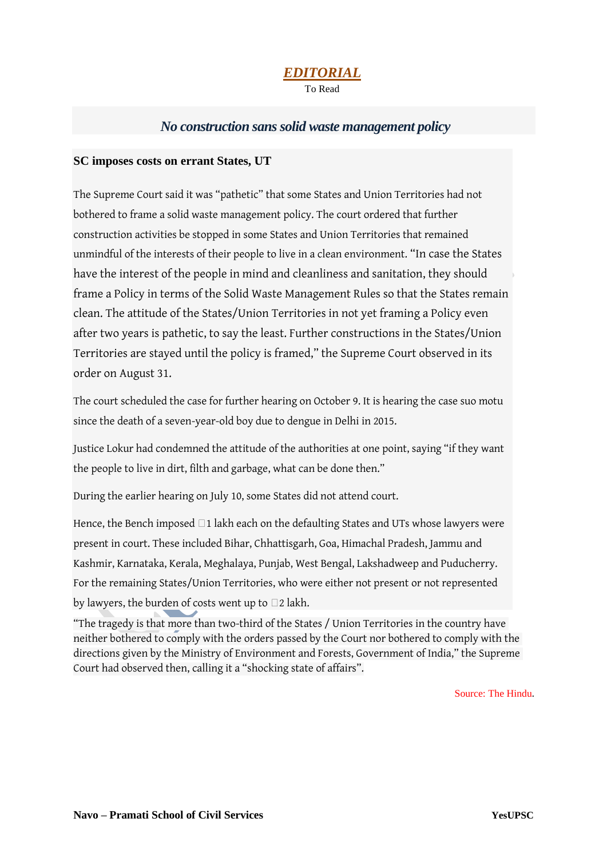# *EDITORIAL*

To Read

# *No construction sans solid waste management policy*

### **SC imposes costs on errant States, UT**

The [Supreme Court](https://www.thehindu.com/tag/Supreme_Court/?utm=bodytag) said it was "pathetic" that some States and Union Territories had not bothered to frame a solid waste management policy. The court ordered that further construction activities be stopped in some States and Union Territories that remained unmindful of the interests of their people to live in a clean environment. "In case the States have the interest of the people in mind and cleanliness and sanitation, they should frame a Policy in terms of the Solid Waste Management Rules so that the States remain clean. The attitude of the States/Union Territories in not yet framing a Policy even after two years is pathetic, to say the least. Further constructions in the States/Union Territories are stayed until the policy is framed," the Supreme Court observed in its order on August 31.

The court scheduled the case for further hearing on October 9. It is hearing the case suo motu since the death of a seven-year-old boy due to dengue in Delhi in 2015.

Justice Lokur had condemned the attitude of the authorities at one point, saying "if they want the people to live in dirt, filth and garbage, what can be done then."

During the earlier hearing on July 10, some States did not attend court.

Hence, the Bench imposed  $\Box$ 1 lakh each on the defaulting States and UTs whose lawyers were present in court. These included Bihar, Chhattisgarh, Goa, Himachal Pradesh, Jammu and Kashmir, Karnataka, Kerala, Meghalaya, Punjab, West Bengal, Lakshadweep and Puducherry. For the remaining States/Union Territories, who were either not present or not represented by lawyers, the burden of costs went up to  $\square$ 2 lakh.

"The tragedy is that more than two-third of the States / Union Territories in the country have neither bothered to comply with the orders passed by the Court nor bothered to comply with the directions given by the Ministry of Environment and Forests, Government of India," the Supreme Court had observed then, calling it a "shocking state of affairs".

Source: The Hindu.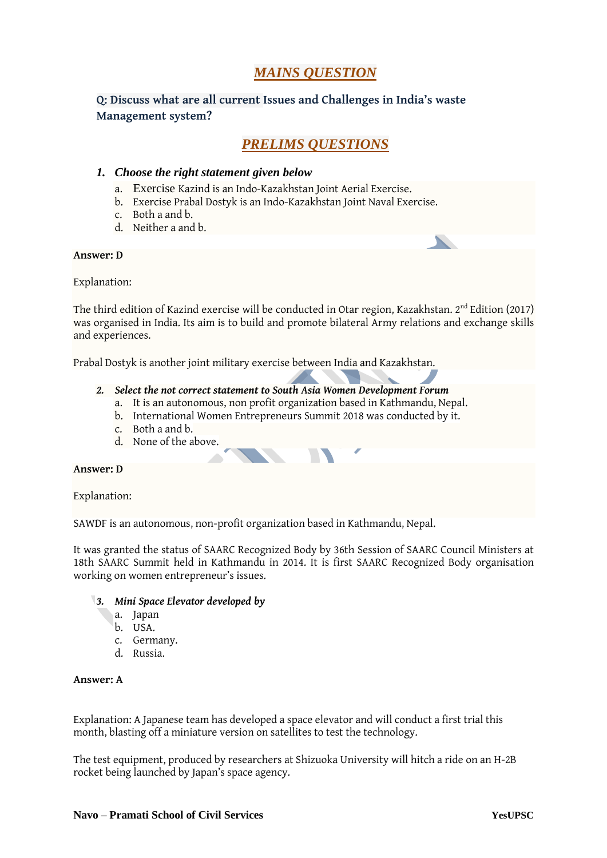# *MAINS QUESTION*

### **Q: Discuss what are all current Issues and Challenges in India's waste Management system?**

# *PRELIMS QUESTIONS*

### *1. Choose the right statement given below*

- a. Exercise Kazind is an Indo-Kazakhstan Joint Aerial Exercise.
- b. Exercise Prabal Dostyk is an Indo-Kazakhstan Joint Naval Exercise.
- c. Both a and b.
- d. Neither a and b.

#### **Answer: D**

Explanation:

The third edition of Kazind exercise will be conducted in Otar region, Kazakhstan. 2<sup>nd</sup> Edition (2017) was organised in India. Its aim is to build and promote bilateral Army relations and exchange skills and experiences.

Prabal Dostyk is another joint military exercise between India and Kazakhstan.

#### *2. Select the not correct statement to South Asia Women Development Forum*

- a. It is an autonomous, non profit organization based in Kathmandu, Nepal.
- b. International Women Entrepreneurs Summit 2018 was conducted by it.
- c. Both a and b.
- d. None of the above.

#### **Answer: D**

Explanation:

SAWDF is an autonomous, non-profit organization based in Kathmandu, Nepal.

It was granted the status of SAARC Recognized Body by 36th Session of SAARC Council Ministers at 18th SAARC Summit held in Kathmandu in 2014. It is first SAARC Recognized Body organisation working on women entrepreneur's issues.

#### *3. Mini Space Elevator developed by*

- a. Japan
- b. USA.
- c. Germany.
- d. Russia.

#### **Answer: A**

Explanation: A Japanese team has developed a space elevator and will conduct a first trial this month, blasting off a miniature version on satellites to test the technology.

The test equipment, produced by researchers at Shizuoka University will hitch a ride on an H-2B rocket being launched by Japan's space agency.